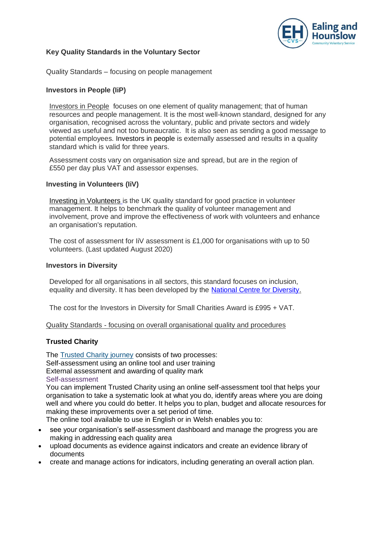

# **Key Quality Standards in the Voluntary Sector**

Quality Standards – focusing on people management

## **Investors in People (IiP)**

Investors in People focuses on one element of quality management; that of human resources and people management. It is the most well-known standard, designed for any organisation, recognised across the voluntary, public and private sectors and widely viewed as useful and not too bureaucratic. It is also seen as sending a good message to potential employees. Investors in people is externally assessed and results in a quality standard which is valid for three years.

Assessment costs vary on organisation size and spread, but are in the region of £550 per day plus VAT and assessor expenses.

#### **Investing in Volunteers (IiV)**

[Investing in Volunteers](http://iiv.investinginvolunteers.org.uk/) is the UK quality standard for good practice in volunteer management. It helps to benchmark the quality of volunteer management and involvement, prove and improve the effectiveness of work with volunteers and enhance an organisation's reputation.

The cost of assessment for IiV assessment is £1,000 for organisations with up to 50 volunteers. (Last updated August 2020)

#### **Investors in Diversity**

Developed for all organisations in all sectors, this standard focuses on inclusion, equality and diversity. It has been developed by the [National Centre for Diversity.](http://www.nationalcentrefordiversity.com/home/services/investors-in-diversity/)

The cost for the Investors in Diversity for Small Charities Award is £995 + VAT.

Quality Standards - focusing on overall organisational quality and procedures

# **Trusted Charity**

The [Trusted Charity journey](https://www.ncvo.org.uk/practical-support/quality-and-standards/trusted-charity/the-trusted-charity-journey) consists of two processes: Self-assessment using an online tool and user training External assessment and awarding of quality mark Self-assessment

You can implement Trusted Charity using an online self-assessment tool that helps your organisation to take a systematic look at what you do, identify areas where you are doing well and where you could do better. It helps you to plan, budget and allocate resources for making these improvements over a set period of time.

The online tool available to use in English or in Welsh enables you to:

- see your organisation's self-assessment dashboard and manage the progress you are making in addressing each quality area
- upload documents as evidence against indicators and create an evidence library of documents
- create and manage actions for indicators, including generating an overall action plan.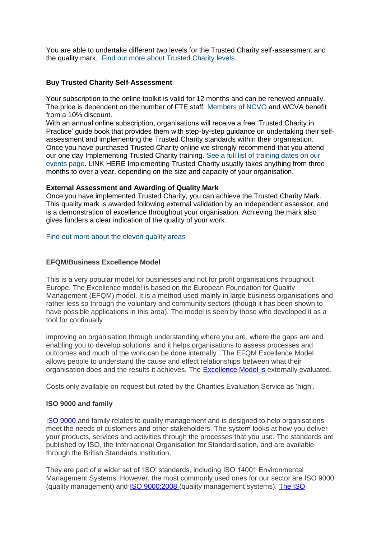You are able to undertake different two levels for the Trusted Charity self-assessment and the quality mark. [Find out more about Trusted Charity levels.](https://www.ncvo.org.uk/practical-support/quality-and-standards/trusted-charity/how-trusted-charity-works)

## **Buy Trusted Charity Self-Assessment**

Your subscription to the online toolkit is valid for 12 months and can be renewed annually. The price is dependent on the number of FTE staff. [Members of NCVO](https://www.ncvo.org.uk/join) and WCVA benefit from a 10% discount.

With an annual online subscription, organisations will receive a free 'Trusted Charity in Practice' guide book that provides them with step-by-step guidance on undertaking their selfassessment and implementing the Trusted Charity standards within their organisation. Once you have purchased Trusted Charity online we strongly recommend that you attend our one day Implementing Trusted Charity training. [See a full list of training dates on our](https://www.ncvo.org.uk/practical-support/quality-and-standards/trusted-charity/trusted-charity-training-events)  [events page.](https://www.ncvo.org.uk/practical-support/quality-and-standards/trusted-charity/trusted-charity-training-events) LINK HERE Implementing Trusted Charity usually takes anything from three months to over a year, depending on the size and capacity of your organisation.

## **External Assessment and Awarding of Quality Mark**

Once you have implemented Trusted Charity, you can achieve the Trusted Charity Mark. This quality mark is awarded following external validation by an independent assessor, and is a demonstration of excellence throughout your organisation. Achieving the mark also gives funders a clear indication of the quality of your work.

## [Find out more about the eleven quality areas](https://www.ncvo.org.uk/practical-support/quality-and-standards/trusted-charity/how-trusted-charity-works)

## **EFQM/Business Excellence Model**

This is a very popular model for businesses and not for profit organisations throughout Europe. The Excellence model is based on the European Foundation for Quality Management (EFQM) model. It is a method used mainly in large business organisations and rather less so through the voluntary and community sectors (though it has been shown to have possible applications in this area). The model is seen by those who developed it as a tool for continually

improving an organisation through understanding where you are, where the gaps are and enabling you to develop solutions. and it helps organisations to assess processes and outcomes and much of the work can be done internally . The EFQM Excellence Model allows people to understand the cause and effect relationships between what their organisation does and the results it achieves. The [Excellence Model is e](https://www.efqm.org/index.php/efqm-model/)xternally evaluated.

Costs only available on request but rated by the Charities Evaluation Service as 'high'.

# **ISO 9000 and family**

[ISO 9000 a](http://www.iso.org/iso/home/standards/management-standards/iso_9000.htm)nd family relates to quality management and is designed to help organisations meet the needs of customers and other stakeholders. The system looks at how you deliver your products, services and activities through the processes that you use. The standards are published by ISO, the International Organisation for Standardisation, and are available through the British Standards Institution.

They are part of a wider set of 'ISO' standards, including ISO 14001 Environmental Management Systems. However, the most commonly used ones for our sector are ISO 9000 (quality management) and [ISO 9000:2008 \(](http://shop.bsigroup.com/ProductDetail/?pid=000000000030208037)quality management systems). [The ISO](http://www.iso.org/iso/home.html)